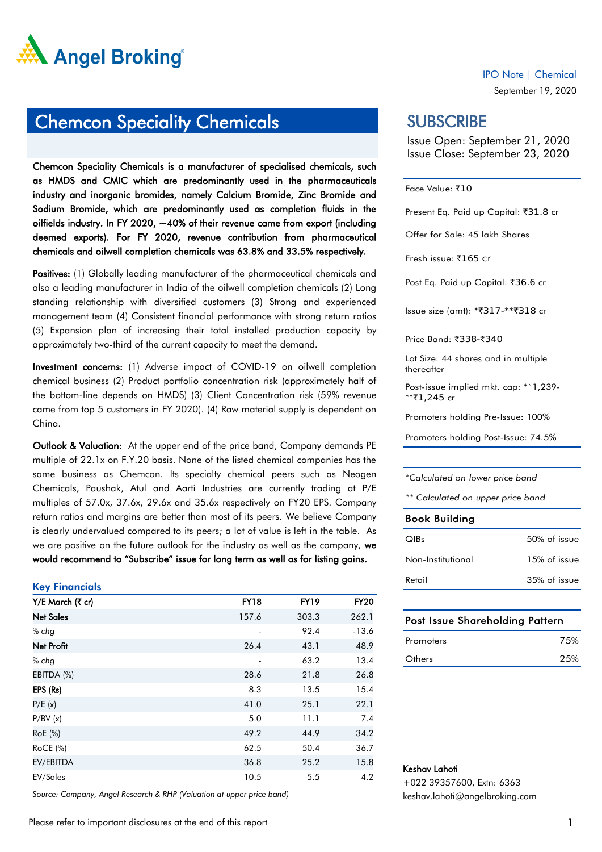

### Chemcon Speciality Chemicals

Chemcon Speciality Chemicals is a manufacturer of specialised chemicals, such as HMDS and CMIC which are predominantly used in the pharmaceuticals industry and inorganic bromides, namely Calcium Bromide, Zinc Bromide and Sodium Bromide, which are predominantly used as completion fluids in the oilfields industry. In FY 2020, ~40% of their revenue came from export (including deemed exports). For FY 2020, revenue contribution from pharmaceutical chemicals and oilwell completion chemicals was 63.8% and 33.5% respectively.

Positives: (1) Globally leading manufacturer of the pharmaceutical chemicals and also a leading manufacturer in India of the oilwell completion chemicals (2) Long standing relationship with diversified customers (3) Strong and experienced management team (4) Consistent financial performance with strong return ratios (5) Expansion plan of increasing their total installed production capacity by approximately two-third of the current capacity to meet the demand.

Investment concerns: (1) Adverse impact of COVID-19 on oilwell completion chemical business (2) Product portfolio concentration risk (approximately half of the bottom-line depends on HMDS) (3) Client Concentration risk (59% revenue came from top 5 customers in FY 2020). (4) Raw material supply is dependent on China.

Outlook & Valuation: At the upper end of the price band, Company demands PE multiple of 22.1x on F.Y.20 basis. None of the listed chemical companies has the same business as Chemcon. Its specialty chemical peers such as Neogen Chemicals, Paushak, Atul and Aarti Industries are currently trading at P/E multiples of 57.0x, 37.6x, 29.6x and 35.6x respectively on FY20 EPS. Company return ratios and margins are better than most of its peers. We believe Company is clearly undervalued compared to its peers; a lot of value is left in the table. As we are positive on the future outlook for the industry as well as the company, we would recommend to "Subscribe" issue for long term as well as for listing gains.

#### Key Financials

| Y/E March (₹ cr)  | <b>FY18</b>    | <b>FY19</b> | <b>FY20</b> |
|-------------------|----------------|-------------|-------------|
| <b>Net Sales</b>  | 157.6          | 303.3       | 262.1       |
| $%$ chg           |                | 92.4        | $-13.6$     |
| <b>Net Profit</b> | 26.4           | 43.1        | 48.9        |
| $%$ chg           | $\overline{a}$ | 63.2        | 13.4        |
| EBITDA (%)        | 28.6           | 21.8        | 26.8        |
| EPS (Rs)          | 8.3            | 13.5        | 15.4        |
| P/E(x)            | 41.0           | 25.1        | 22.1        |
| P/BV(x)           | 5.0            | 11.1        | 7.4         |
| RoE (%)           | 49.2           | 44.9        | 34.2        |
| <b>RoCE</b> (%)   | 62.5           | 50.4        | 36.7        |
| EV/EBITDA         | 36.8           | 25.2        | 15.8        |
| EV/Sales          | 10.5           | 5.5         | 4.2         |

*Source: Company, Angel Research & RHP (Valuation at upper price band)*

September 19, 2020

### **SUBSCRIBE**

Issue Open: September 21, 2020 Issue Close: September 23, 2020

Face Value: ₹10

Present Eq. Paid up Capital: ₹31.8 cr

Offer for Sale: 45 lakh Shares

Fresh issue: `165 cr

Post Eq. Paid up Capital: ₹36.6 cr

Issue size (amt): \*₹317-\*\*₹318 cr

Price Band: ₹338-₹340

Lot Size: 44 shares and in multiple thereafter

Post-issue implied mkt. cap: \*`1,239- \*\*₹1,245 cr

Promoters holding Pre-Issue: 100%

Promoters holding Post-Issue: 74.5%

*\*Calculated on lower price band*

*\*\* Calculated on upper price band*

#### Book Building

| QIBs              | 50% of issue |
|-------------------|--------------|
| Non-Institutional | 15% of issue |
| Retail            | 35% of issue |

#### Post Issue Shareholding Pattern

| Promoters | 75% |
|-----------|-----|
| Others    | 25% |

#### Keshav Lahoti

+022 39357600, Extn: 6363 keshav.lahoti@angelbroking.com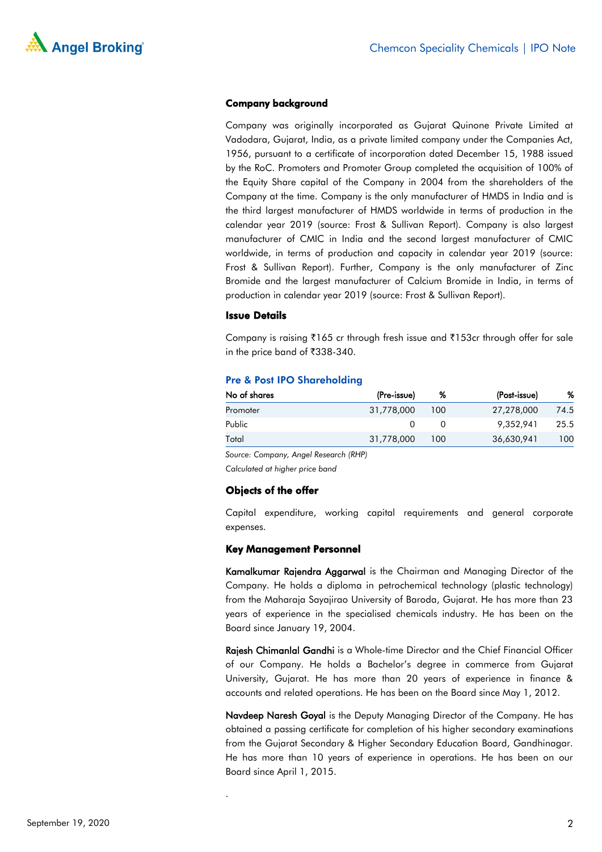

#### Company background

Company was originally incorporated as Gujarat Quinone Private Limited at Vadodara, Gujarat, India, as a private limited company under the Companies Act, 1956, pursuant to a certificate of incorporation dated December 15, 1988 issued by the RoC. Promoters and Promoter Group completed the acquisition of 100% of the Equity Share capital of the Company in 2004 from the shareholders of the Company at the time. Company is the only manufacturer of HMDS in India and is the third largest manufacturer of HMDS worldwide in terms of production in the calendar year 2019 (source: Frost & Sullivan Report). Company is also largest manufacturer of CMIC in India and the second largest manufacturer of CMIC worldwide, in terms of production and capacity in calendar year 2019 (source: Frost & Sullivan Report). Further, Company is the only manufacturer of Zinc Bromide and the largest manufacturer of Calcium Bromide in India, in terms of production in calendar year 2019 (source: Frost & Sullivan Report).

#### Issue Details

Company is raising  $\bar{\tau}$ 165 cr through fresh issue and  $\bar{\tau}$ 153cr through offer for sale in the price band of  $\overline{3}38-340$ .

| No of shares | (Pre-issue) | %   | (Post-issue) | %    |
|--------------|-------------|-----|--------------|------|
| Promoter     | 31,778,000  | 100 | 27,278,000   | 74.5 |
| Public       |             |     | 9,352,941    | 25.5 |
| Total        | 31,778,000  | 100 | 36,630,941   | 100  |

#### Pre & Post IPO Shareholding

*Source: Company, Angel Research (RHP)*

*Calculated at higher price band*

#### Objects of the offer

.

Capital expenditure, working capital requirements and general corporate expenses.

#### Key Management Personnel

Kamalkumar Rajendra Aggarwal is the Chairman and Managing Director of the Company. He holds a diploma in petrochemical technology (plastic technology) from the Maharaja Sayajirao University of Baroda, Gujarat. He has more than 23 years of experience in the specialised chemicals industry. He has been on the Board since January 19, 2004.

Rajesh Chimanlal Gandhi is a Whole-time Director and the Chief Financial Officer of our Company. He holds a Bachelor's degree in commerce from Gujarat University, Gujarat. He has more than 20 years of experience in finance & accounts and related operations. He has been on the Board since May 1, 2012.

Navdeep Naresh Goyal is the Deputy Managing Director of the Company. He has obtained a passing certificate for completion of his higher secondary examinations from the Gujarat Secondary & Higher Secondary Education Board, Gandhinagar. He has more than 10 years of experience in operations. He has been on our Board since April 1, 2015.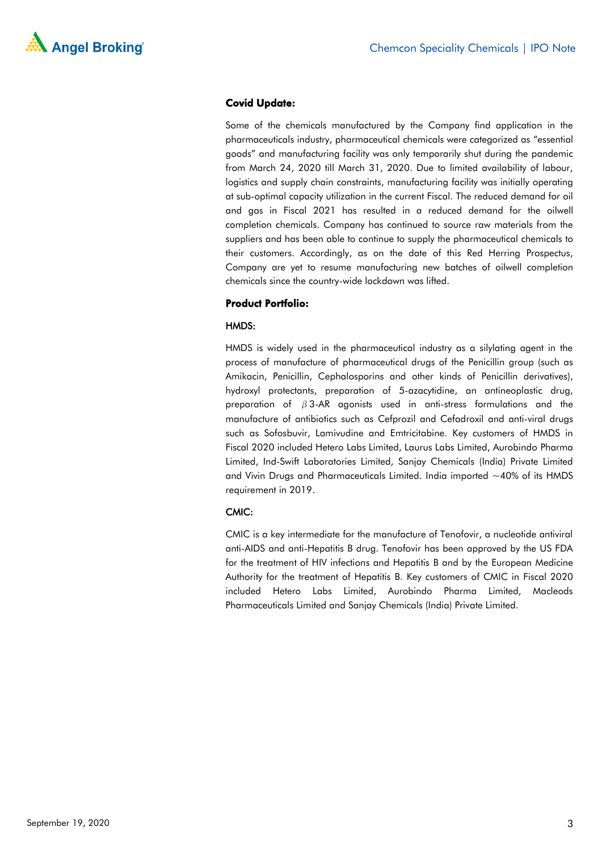

#### Covid Update:

Some of the chemicals manufactured by the Company find application in the pharmaceuticals industry, pharmaceutical chemicals were categorized as "essential goods" and manufacturing facility was only temporarily shut during the pandemic from March 24, 2020 till March 31, 2020. Due to limited availability of labour, logistics and supply chain constraints, manufacturing facility was initially operating at sub-optimal capacity utilization in the current Fiscal. The reduced demand for oil and gas in Fiscal 2021 has resulted in a reduced demand for the oilwell completion chemicals. Company has continued to source raw materials from the suppliers and has been able to continue to supply the pharmaceutical chemicals to their customers. Accordingly, as on the date of this Red Herring Prospectus, Company are yet to resume manufacturing new batches of oilwell completion chemicals since the country-wide lockdown was lifted.

#### Product Portfolio:

#### HMDS:

HMDS is widely used in the pharmaceutical industry as a silylating agent in the process of manufacture of pharmaceutical drugs of the Penicillin group (such as Amikacin, Penicillin, Cephalosporins and other kinds of Penicillin derivatives), hydroxyl protectants, preparation of 5-azacytidine, an antineoplastic drug, preparation of  $\beta$ 3-AR agonists used in anti-stress formulations and the manufacture of antibiotics such as Cefprozil and Cefadroxil and anti-viral drugs such as Sofosbuvir, Lamivudine and Emtricitabine. Key customers of HMDS in Fiscal 2020 included Hetero Labs Limited, Laurus Labs Limited, Aurobindo Pharma Limited, Ind-Swift Laboratories Limited, Sanjay Chemicals (India) Private Limited and Vivin Drugs and Pharmaceuticals Limited. India imported  $\sim$  40% of its HMDS requirement in 2019.

#### CMIC:

CMIC is a key intermediate for the manufacture of Tenofovir, a nucleotide antiviral anti-AIDS and anti-Hepatitis B drug. Tenofovir has been approved by the US FDA for the treatment of HIV infections and Hepatitis B and by the European Medicine Authority for the treatment of Hepatitis B. Key customers of CMIC in Fiscal 2020 included Hetero Labs Limited, Aurobindo Pharma Limited, Macleods Pharmaceuticals Limited and Sanjay Chemicals (India) Private Limited.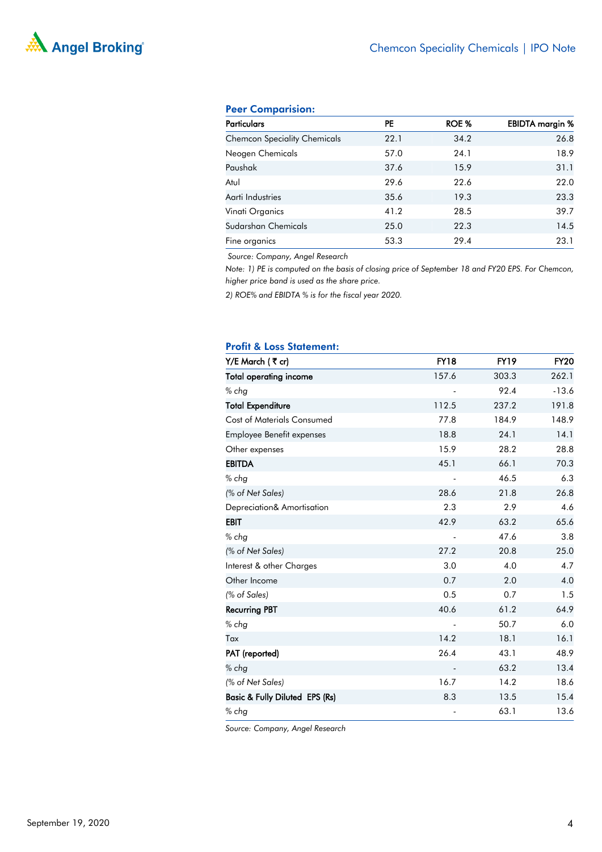## MA Angel Broking®

#### Peer Comparision:

| <b>Particulars</b>                  | PE   | ROE % | <b>EBIDTA</b> margin % |
|-------------------------------------|------|-------|------------------------|
| <b>Chemcon Speciality Chemicals</b> | 22.1 | 34.2  | 26.8                   |
| Neogen Chemicals                    | 57.0 | 24.1  | 18.9                   |
| Paushak                             | 37.6 | 15.9  | 31.1                   |
| Atul                                | 29.6 | 22.6  | 22.0                   |
| Aarti Industries                    | 35.6 | 19.3  | 23.3                   |
| Vinati Organics                     | 41.2 | 28.5  | 39.7                   |
| Sudarshan Chemicals                 | 25.0 | 22.3  | 14.5                   |
| Fine organics                       | 53.3 | 29.4  | 23.1                   |

*Source: Company, Angel Research*

*Note: 1) PE is computed on the basis of closing price of September 18 and FY20 EPS. For Chemcon, higher price band is used as the share price.* 

*2) ROE% and EBIDTA % is for the fiscal year 2020.*

#### Profit & Loss Statement:

| Y/E March (₹ cr)                          | <b>FY18</b>              | <b>FY19</b> | <b>FY20</b> |
|-------------------------------------------|--------------------------|-------------|-------------|
| <b>Total operating income</b>             | 157.6                    | 303.3       | 262.1       |
| % chg                                     |                          | 92.4        | $-13.6$     |
| <b>Total Expenditure</b>                  | 112.5                    | 237.2       | 191.8       |
| <b>Cost of Materials Consumed</b>         | 77.8                     | 184.9       | 148.9       |
| <b>Employee Benefit expenses</b>          | 18.8                     | 24.1        | 14.1        |
| Other expenses                            | 15.9                     | 28.2        | 28.8        |
| <b>EBITDA</b>                             | 45.1                     | 66.1        | 70.3        |
| $%$ chg                                   |                          | 46.5        | 6.3         |
| (% of Net Sales)                          | 28.6                     | 21.8        | 26.8        |
| Depreciation& Amortisation                | 2.3                      | 2.9         | 4.6         |
| <b>EBIT</b>                               | 42.9                     | 63.2        | 65.6        |
| $%$ chg                                   |                          | 47.6        | 3.8         |
| (% of Net Sales)                          | 27.2                     | 20.8        | 25.0        |
| Interest & other Charges                  | 3.0                      | 4.0         | 4.7         |
| Other Income                              | 0.7                      | 2.0         | 4.0         |
| (% of Sales)                              | 0.5                      | 0.7         | 1.5         |
| <b>Recurring PBT</b>                      | 40.6                     | 61.2        | 64.9        |
| $%$ chg                                   |                          | 50.7        | 6.0         |
| Tax                                       | 14.2                     | 18.1        | 16.1        |
| PAT (reported)                            | 26.4                     | 43.1        | 48.9        |
| $%$ chg                                   | $\overline{\phantom{m}}$ | 63.2        | 13.4        |
| (% of Net Sales)                          | 16.7                     | 14.2        | 18.6        |
| <b>Basic &amp; Fully Diluted EPS (Rs)</b> | 8.3                      | 13.5        | 15.4        |
| $%$ chg                                   | -                        | 63.1        | 13.6        |

*Source: Company, Angel Research*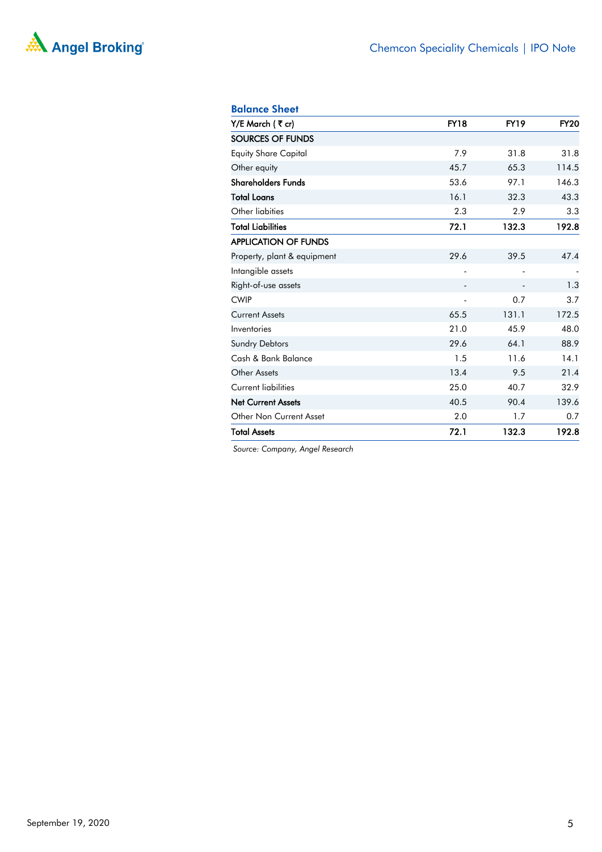

#### Balance Sheet

| Y/E March (₹cr)             | <b>FY18</b>              | <b>FY19</b> | <b>FY20</b> |
|-----------------------------|--------------------------|-------------|-------------|
| SOURCES OF FUNDS            |                          |             |             |
| <b>Equity Share Capital</b> | 7.9                      | 31.8        | 31.8        |
| Other equity                | 45.7                     | 65.3        | 114.5       |
| <b>Shareholders Funds</b>   | 53.6                     | 97.1        | 146.3       |
| <b>Total Loans</b>          | 16.1                     | 32.3        | 43.3        |
| Other liabities             | 2.3                      | 2.9         | 3.3         |
| <b>Total Liabilities</b>    | 72.1                     | 132.3       | 192.8       |
| <b>APPLICATION OF FUNDS</b> |                          |             |             |
| Property, plant & equipment | 29.6                     | 39.5        | 47.4        |
| Intangible assets           | ä,                       |             |             |
| Right-of-use assets         | -                        |             | 1.3         |
| <b>CWIP</b>                 | $\overline{\phantom{0}}$ | 0.7         | 3.7         |
| <b>Current Assets</b>       | 65.5                     | 131.1       | 172.5       |
| Inventories                 | 21.0                     | 45.9        | 48.0        |
| <b>Sundry Debtors</b>       | 29.6                     | 64.1        | 88.9        |
| Cash & Bank Balance         | 1.5                      | 11.6        | 14.1        |
| Other Assets                | 13.4                     | 9.5         | 21.4        |
| <b>Current liabilities</b>  | 25.0                     | 40.7        | 32.9        |
| <b>Net Current Assets</b>   | 40.5                     | 90.4        | 139.6       |
| Other Non Current Asset     | 2.0                      | 1.7         | 0.7         |
| <b>Total Assets</b>         | 72.1                     | 132.3       | 192.8       |

*Source: Company, Angel Research*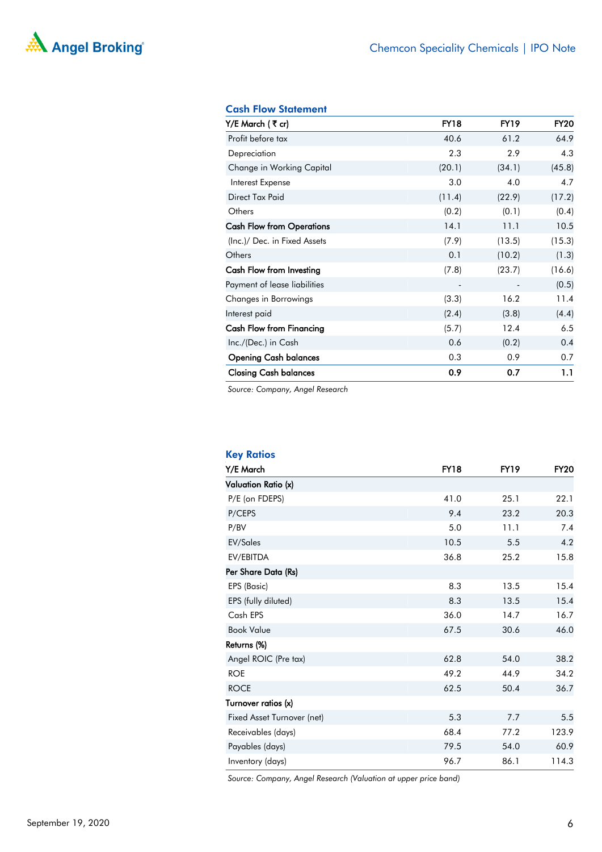# MA Angel Broking®

#### Cash Flow Statement

| Y/E March (₹cr)                  | <b>FY18</b>              | <b>FY19</b> | <b>FY20</b> |
|----------------------------------|--------------------------|-------------|-------------|
| Profit before tax                | 40.6                     | 61.2        | 64.9        |
| Depreciation                     | 2.3                      | 2.9         | 4.3         |
| Change in Working Capital        | (20.1)                   | (34.1)      | (45.8)      |
| Interest Expense                 | 3.0                      | 4.0         | 4.7         |
| Direct Tax Paid                  | (11.4)                   | (22.9)      | (17.2)      |
| Others                           | (0.2)                    | (0.1)       | (0.4)       |
| <b>Cash Flow from Operations</b> | 14.1                     | 11.1        | 10.5        |
| (Inc.)/ Dec. in Fixed Assets     | (7.9)                    | (13.5)      | (15.3)      |
| Others                           | 0.1                      | (10.2)      | (1.3)       |
| Cash Flow from Investing         | (7.8)                    | (23.7)      | (16.6)      |
| Payment of lease liabilities     | $\overline{\phantom{a}}$ |             | (0.5)       |
| Changes in Borrowings            | (3.3)                    | 16.2        | 11.4        |
| Interest paid                    | (2.4)                    | (3.8)       | (4.4)       |
| Cash Flow from Financing         | (5.7)                    | 12.4        | 6.5         |
| Inc./(Dec.) in Cash              | 0.6                      | (0.2)       | 0.4         |
| <b>Opening Cash balances</b>     | 0.3                      | 0.9         | 0.7         |
| <b>Closing Cash balances</b>     | 0.9                      | 0.7         | 1.1         |

*Source: Company, Angel Research*

| <b>Key Ratios</b>          |             |             |             |
|----------------------------|-------------|-------------|-------------|
| Y/E March                  | <b>FY18</b> | <b>FY19</b> | <b>FY20</b> |
| Valuation Ratio (x)        |             |             |             |
| P/E (on FDEPS)             | 41.0        | 25.1        | 22.1        |
| P/CEPS                     | 9.4         | 23.2        | 20.3        |
| P/BV                       | 5.0         | 11.1        | 7.4         |
| EV/Sales                   | 10.5        | 5.5         | 4.2         |
| EV/EBITDA                  | 36.8        | 25.2        | 15.8        |
| Per Share Data (Rs)        |             |             |             |
| EPS (Basic)                | 8.3         | 13.5        | 15.4        |
| EPS (fully diluted)        | 8.3         | 13.5        | 15.4        |
| Cash EPS                   | 36.0        | 14.7        | 16.7        |
| <b>Book Value</b>          | 67.5        | 30.6        | 46.0        |
| Returns (%)                |             |             |             |
| Angel ROIC (Pre tax)       | 62.8        | 54.0        | 38.2        |
| <b>ROE</b>                 | 49.2        | 44.9        | 34.2        |
| <b>ROCE</b>                | 62.5        | 50.4        | 36.7        |
| Turnover ratios (x)        |             |             |             |
| Fixed Asset Turnover (net) | 5.3         | 7.7         | 5.5         |
| Receivables (days)         | 68.4        | 77.2        | 123.9       |
| Payables (days)            | 79.5        | 54.0        | 60.9        |
| Inventory (days)           | 96.7        | 86.1        | 114.3       |

*Source: Company, Angel Research (Valuation at upper price band)*